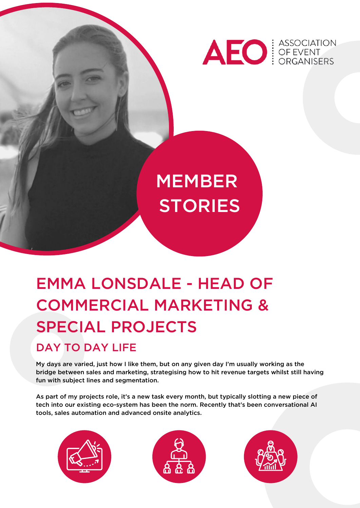

# **MEMBER STORIES**

# EMMA LONSDALE - HEAD OF COMMERCIAL MARKETING & SPECIAL PROJECTS

## DAY TO DAY LIFE

My days are varied, just how I like them, but on any given day I'm usually working as the bridge between sales and marketing, strategising how to hit revenue targets whilst still having fun with subject lines and segmentation.

As part of my projects role, it's a new task every month, but typically slotting a new piece of tech into our existing eco-system has been the norm. Recently that's been conversational AI tools, sales automation and advanced onsite analytics.